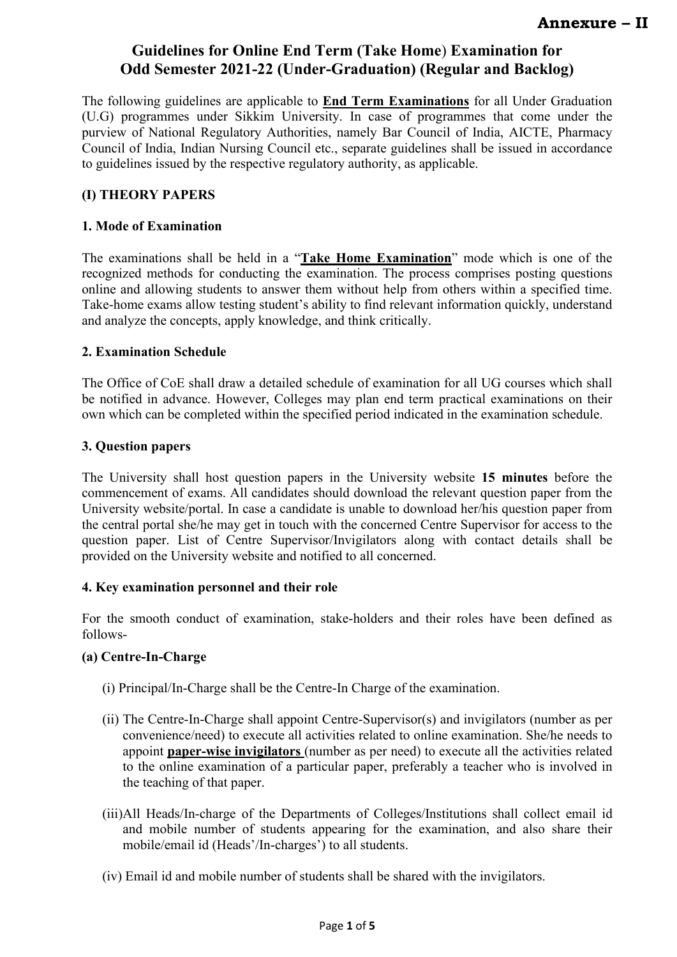The following guidelines are applicable to **End Term Examinations** for all Under Graduation (U.G) programmes under Sikkim University. In case of programmes that come under the purview of National Regulatory Authorities, namely Bar Council of India, AICTE, Pharmacy Council of India, Indian Nursing Council etc., separate guidelines shall be issued in accordance to guidelines issued by the respective regulatory authority, as applicable.

## **(I) THEORY PAPERS**

### **1. Mode of Examination**

The examinations shall be held in a "**Take Home Examination**" mode which is one of the recognized methods for conducting the examination. The process comprises posting questions online and allowing students to answer them without help from others within a specified time. Take-home exams allow testing student's ability to find relevant information quickly, understand and analyze the concepts, apply knowledge, and think critically.

### **2. Examination Schedule**

The Office of CoE shall draw a detailed schedule of examination for all UG courses which shall be notified in advance. However, Colleges may plan end term practical examinations on their own which can be completed within the specified period indicated in the examination schedule.

### **3. Question papers**

The University shall host question papers in the University website **15 minutes** before the commencement of exams. All candidates should download the relevant question paper from the University website/portal. In case a candidate is unable to download her/his question paper from the central portal she/he may get in touch with the concerned Centre Supervisor for access to the question paper. List of Centre Supervisor/Invigilators along with contact details shall be provided on the University website and notified to all concerned.

#### **4. Key examination personnel and their role**

For the smooth conduct of examination, stake-holders and their roles have been defined as follows-

## **(a) Centre-In-Charge**

- (i) Principal/In-Charge shall be the Centre-In Charge of the examination.
- (ii) The Centre-In-Charge shall appoint Centre-Supervisor(s) and invigilators (number as per convenience/need) to execute all activities related to online examination. She/he needs to appoint **paper-wise invigilators** (number as per need) to execute all the activities related to the online examination of a particular paper, preferably a teacher who is involved in the teaching of that paper.
- (iii)All Heads/In-charge of the Departments of Colleges/Institutions shall collect email id and mobile number of students appearing for the examination, and also share their mobile/email id (Heads'/In-charges') to all students.
- (iv) Email id and mobile number of students shall be shared with the invigilators.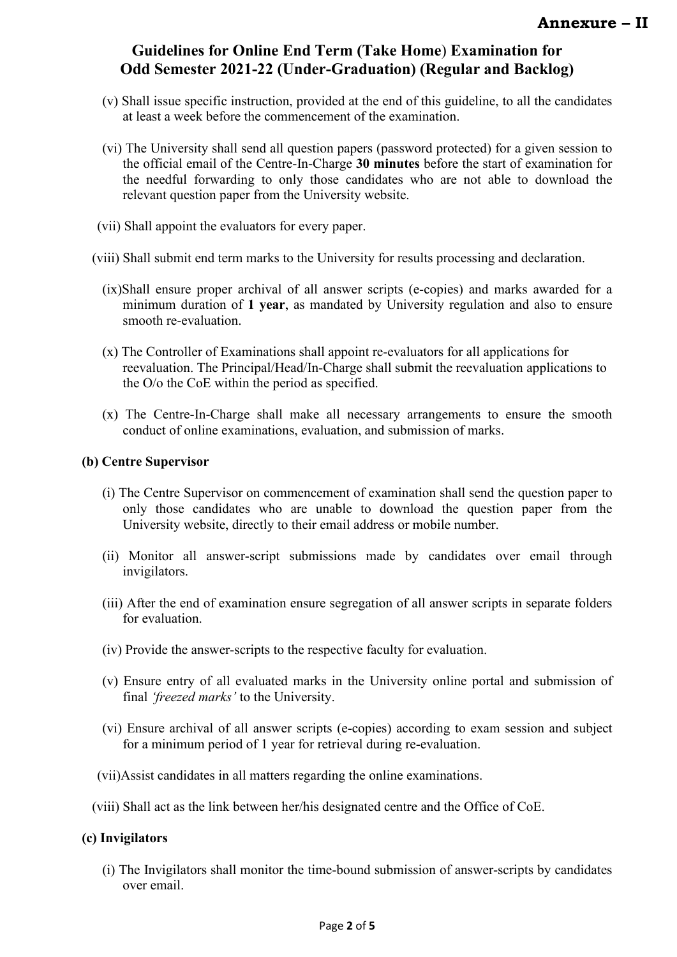- (v) Shall issue specific instruction, provided at the end of this guideline, to all the candidates at least a week before the commencement of the examination.
- (vi) The University shall send all question papers (password protected) for a given session to the official email of the Centre-In-Charge **30 minutes** before the start of examination for the needful forwarding to only those candidates who are not able to download the relevant question paper from the University website.
- (vii) Shall appoint the evaluators for every paper.
- (viii) Shall submit end term marks to the University for results processing and declaration.
	- (ix)Shall ensure proper archival of all answer scripts (e-copies) and marks awarded for a minimum duration of **1 year**, as mandated by University regulation and also to ensure smooth re-evaluation.
	- (x) The Controller of Examinations shall appoint re-evaluators for all applications for reevaluation. The Principal/Head/In-Charge shall submit the reevaluation applications to the O/o the CoE within the period as specified.
	- (x) The Centre-In-Charge shall make all necessary arrangements to ensure the smooth conduct of online examinations, evaluation, and submission of marks.

#### **(b) Centre Supervisor**

- (i) The Centre Supervisor on commencement of examination shall send the question paper to only those candidates who are unable to download the question paper from the University website, directly to their email address or mobile number.
- (ii) Monitor all answer-script submissions made by candidates over email through invigilators.
- (iii) After the end of examination ensure segregation of all answer scripts in separate folders for evaluation.
- (iv) Provide the answer-scripts to the respective faculty for evaluation.
- (v) Ensure entry of all evaluated marks in the University online portal and submission of final *'freezed marks'* to the University.
- (vi) Ensure archival of all answer scripts (e-copies) according to exam session and subject for a minimum period of 1 year for retrieval during re-evaluation.
- (vii)Assist candidates in all matters regarding the online examinations.
- (viii) Shall act as the link between her/his designated centre and the Office of CoE.

#### **(c) Invigilators**

(i) The Invigilators shall monitor the time-bound submission of answer-scripts by candidates over email.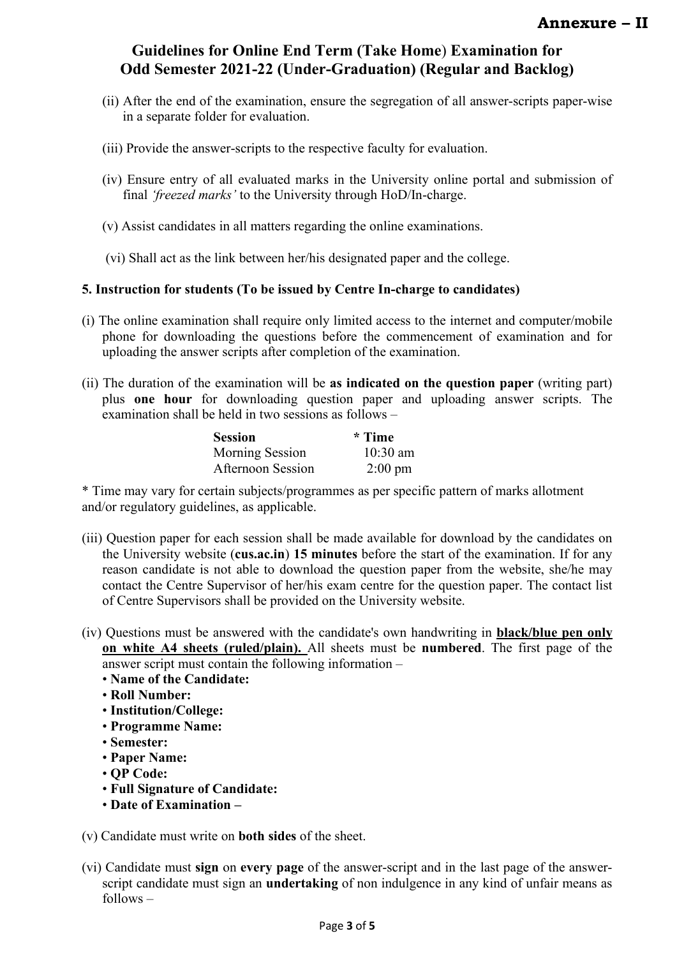- (ii) After the end of the examination, ensure the segregation of all answer-scripts paper-wise in a separate folder for evaluation.
- (iii) Provide the answer-scripts to the respective faculty for evaluation.
- (iv) Ensure entry of all evaluated marks in the University online portal and submission of final *'freezed marks'* to the University through HoD/In-charge.
- (v) Assist candidates in all matters regarding the online examinations.
- (vi) Shall act as the link between her/his designated paper and the college.

### **5. Instruction for students (To be issued by Centre In-charge to candidates)**

- (i) The online examination shall require only limited access to the internet and computer/mobile phone for downloading the questions before the commencement of examination and for uploading the answer scripts after completion of the examination.
- (ii) The duration of the examination will be **as indicated on the question paper** (writing part) plus **one hour** for downloading question paper and uploading answer scripts. The examination shall be held in two sessions as follows –

| <b>Session</b>    | * Time            |
|-------------------|-------------------|
| Morning Session   | $10:30$ am        |
| Afternoon Session | $2:00 \text{ pm}$ |

\* Time may vary for certain subjects/programmes as per specific pattern of marks allotment and/or regulatory guidelines, as applicable.

- (iii) Question paper for each session shall be made available for download by the candidates on the University website (**cus.ac.in**) **15 minutes** before the start of the examination. If for any reason candidate is not able to download the question paper from the website, she/he may contact the Centre Supervisor of her/his exam centre for the question paper. The contact list of Centre Supervisors shall be provided on the University website.
- (iv) Questions must be answered with the candidate's own handwriting in **black/blue pen only on white A4 sheets (ruled/plain).** All sheets must be **numbered**. The first page of the answer script must contain the following information –
	- **Name of the Candidate:**
	- **Roll Number:**
	- **Institution/College:**
	- **Programme Name:**
	- **Semester:**
	- **Paper Name:**
	- **QP Code:**
	- **Full Signature of Candidate:**
	- **Date of Examination –**
- (v) Candidate must write on **both sides** of the sheet.
- (vi) Candidate must **sign** on **every page** of the answer-script and in the last page of the answerscript candidate must sign an **undertaking** of non indulgence in any kind of unfair means as follows –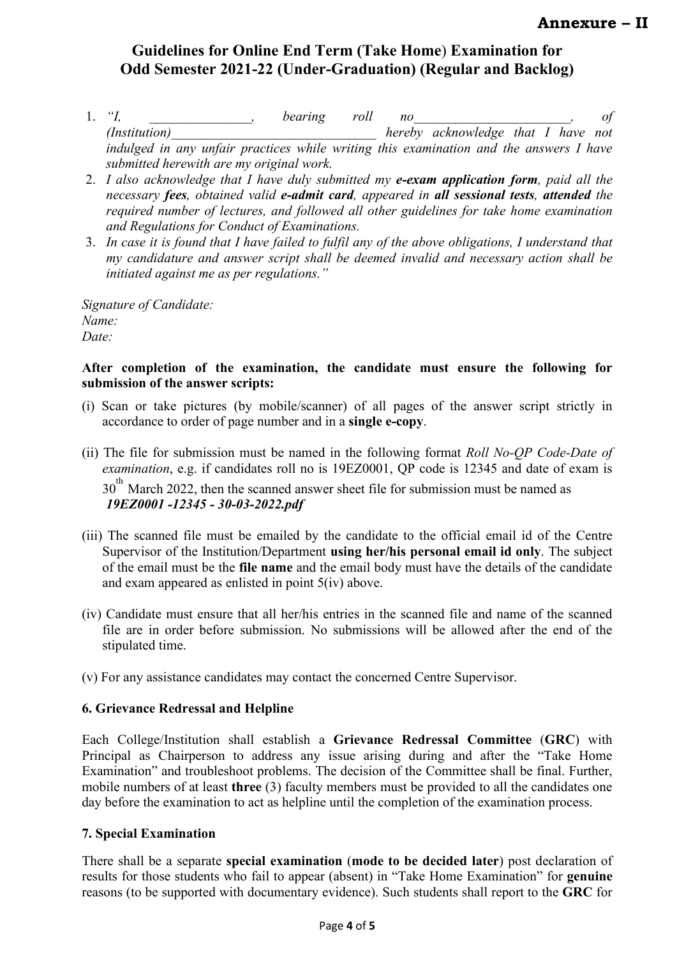- 1. *"I, \_\_\_\_\_\_\_\_\_\_\_\_\_\_\_, bearing roll no\_\_\_\_\_\_\_\_\_\_\_\_\_\_\_\_\_\_\_\_\_\_\_, of (Institution)\_\_\_\_\_\_\_\_\_\_\_\_\_\_\_\_\_\_\_\_\_\_\_\_\_\_\_\_\_\_ hereby acknowledge that I have not indulged in any unfair practices while writing this examination and the answers I have submitted herewith are my original work.*
- 2. *I also acknowledge that I have duly submitted my e-exam application form, paid all the necessary fees, obtained valid e-admit card, appeared in all sessional tests, attended the required number of lectures, and followed all other guidelines for take home examination and Regulations for Conduct of Examinations.*
- 3. *In case it is found that I have failed to fulfil any of the above obligations, I understand that my candidature and answer script shall be deemed invalid and necessary action shall be initiated against me as per regulations."*

*Signature of Candidate: Name: Date:*

### **After completion of the examination, the candidate must ensure the following for submission of the answer scripts:**

- (i) Scan or take pictures (by mobile/scanner) of all pages of the answer script strictly in accordance to order of page number and in a **single e-copy**.
- (ii) The file for submission must be named in the following format *Roll No-QP Code-Date of examination*, e.g. if candidates roll no is 19EZ0001, QP code is 12345 and date of exam is 30<sup>th</sup> March 2022, then the scanned answer sheet file for submission must be named as *19EZ0001 -12345 - 30-03-2022.pdf*
- (iii) The scanned file must be emailed by the candidate to the official email id of the Centre Supervisor of the Institution/Department **using her/his personal email id only**. The subject of the email must be the **file name** and the email body must have the details of the candidate and exam appeared as enlisted in point 5(iv) above.
- (iv) Candidate must ensure that all her/his entries in the scanned file and name of the scanned file are in order before submission. No submissions will be allowed after the end of the stipulated time.
- (v) For any assistance candidates may contact the concerned Centre Supervisor.

## **6. Grievance Redressal and Helpline**

Each College/Institution shall establish a **Grievance Redressal Committee** (**GRC**) with Principal as Chairperson to address any issue arising during and after the "Take Home Examination" and troubleshoot problems. The decision of the Committee shall be final. Further, mobile numbers of at least **three** (3) faculty members must be provided to all the candidates one day before the examination to act as helpline until the completion of the examination process.

## **7. Special Examination**

There shall be a separate **special examination** (**mode to be decided later**) post declaration of results for those students who fail to appear (absent) in "Take Home Examination" for **genuine** reasons (to be supported with documentary evidence). Such students shall report to the **GRC** for